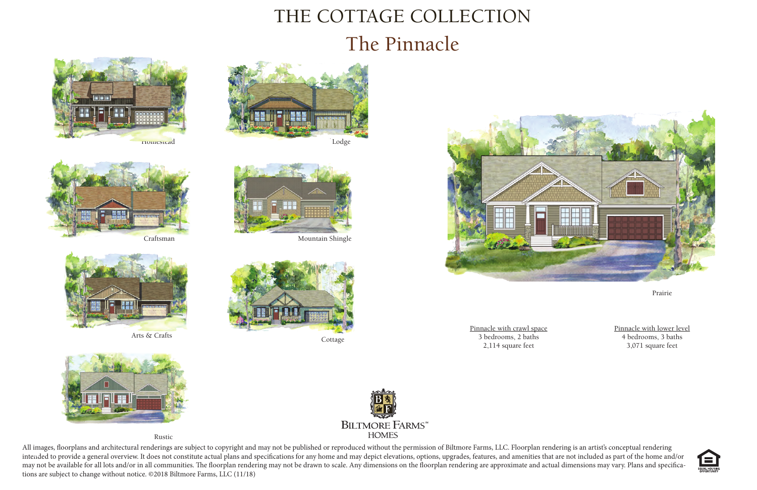All images, floorplans and architectural renderings are subject to copyright and may not be published or reproduced without the permission of Biltmore Farms, LLC. Floorplan rendering is an artist's conceptual rendering intended to provide a general overview. It does not constitute actual plans and specifications for any home and may depict elevations, options, upgrades, features, and amenities that are not included as part of the home an may not be available for all lots and/or in all communities. The floorplan rendering may not be drawn to scale. Any dimensions on the floorplan rendering are approximate and actual dimensions may vary. Plans and specifications are subject to change without notice. ©2018 Biltmore Farms, LLC (11/18)

Pinnacle with crawl space 3 bedrooms, 2 baths 2,114 square feet 3 bearooms, 2 baths and 3 bearooms, 2 baths and 3 bearooms, 3 bath 4 bearooms, 3 baths 3,071 square feet 3,071 square feet

## THE COTTAGE COLLECTION The Pinnacle



Prairie



Arts & Crafts



Craftsman





Pinnacle with lower level 4 bedrooms, 3 baths



Homestead













Rustic